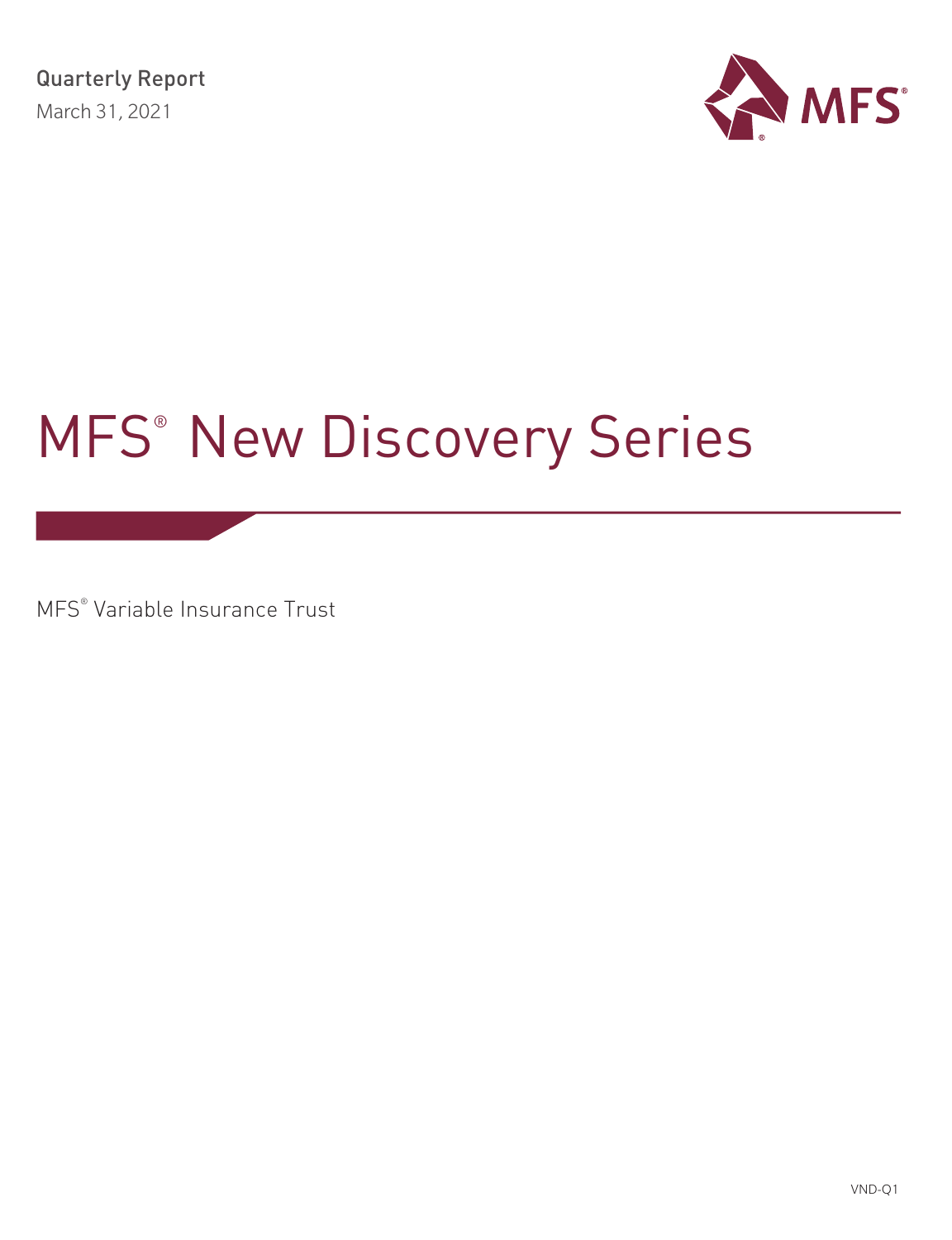

# MFS® New Discovery Series

MFS® Variable Insurance Trust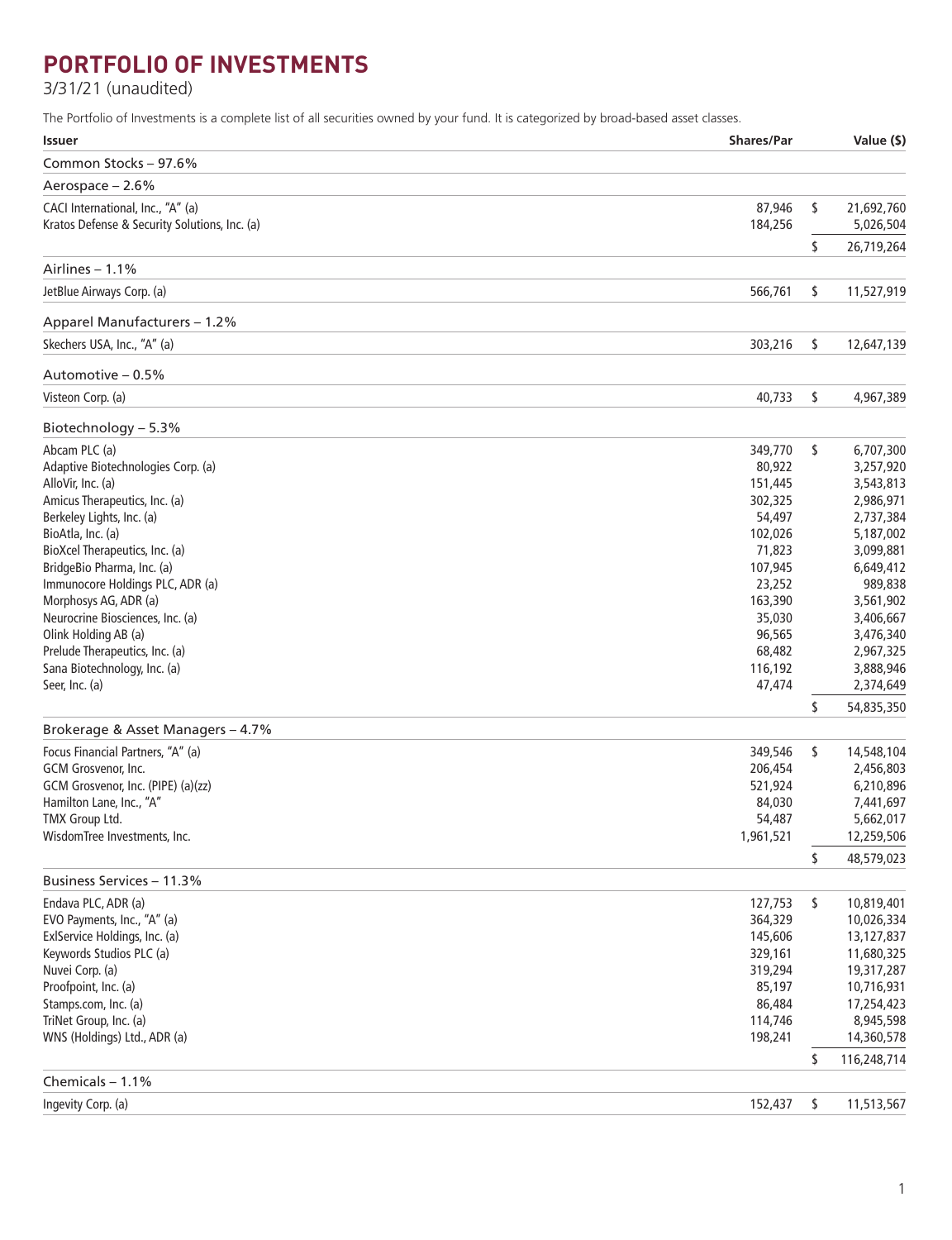# **PORTFOLIO OF INVESTMENTS**

3/31/21 (unaudited)

The Portfolio of Investments is a complete list of all securities owned by your fund. It is categorized by broad-based asset classes.

| <b>Issuer</b>                                 | <b>Shares/Par</b> | Value (\$)        |
|-----------------------------------------------|-------------------|-------------------|
| Common Stocks - 97.6%                         |                   |                   |
| Aerospace - 2.6%                              |                   |                   |
| CACI International, Inc., "A" (a)             | 87,946            | \$<br>21,692,760  |
| Kratos Defense & Security Solutions, Inc. (a) | 184,256           | 5,026,504         |
|                                               |                   | \$<br>26,719,264  |
| Airlines $-1.1%$                              |                   |                   |
| JetBlue Airways Corp. (a)                     | 566,761           | \$<br>11,527,919  |
| Apparel Manufacturers - 1.2%                  |                   |                   |
| Skechers USA, Inc., "A" (a)                   | 303,216           | \$<br>12,647,139  |
|                                               |                   |                   |
| Automotive - 0.5%                             |                   |                   |
| Visteon Corp. (a)                             | 40,733            | \$<br>4,967,389   |
| Biotechnology - 5.3%                          |                   |                   |
| Abcam PLC (a)                                 | 349,770           | \$<br>6,707,300   |
| Adaptive Biotechnologies Corp. (a)            | 80,922            | 3,257,920         |
| AlloVir, Inc. (a)                             | 151,445           | 3,543,813         |
| Amicus Therapeutics, Inc. (a)                 | 302,325           | 2,986,971         |
| Berkeley Lights, Inc. (a)                     | 54,497            | 2,737,384         |
| BioAtla, Inc. (a)                             | 102,026           | 5,187,002         |
| BioXcel Therapeutics, Inc. (a)                | 71,823            | 3,099,881         |
| BridgeBio Pharma, Inc. (a)                    | 107,945           | 6,649,412         |
| Immunocore Holdings PLC, ADR (a)              | 23,252            | 989.838           |
| Morphosys AG, ADR (a)                         | 163,390           | 3,561,902         |
| Neurocrine Biosciences, Inc. (a)              | 35,030            | 3,406,667         |
| Olink Holding AB (a)                          | 96,565            | 3,476,340         |
| Prelude Therapeutics, Inc. (a)                | 68,482            | 2,967,325         |
| Sana Biotechnology, Inc. (a)                  | 116,192           | 3,888,946         |
| Seer, Inc. (a)                                | 47,474            | 2,374,649         |
|                                               |                   | \$<br>54,835,350  |
| Brokerage & Asset Managers - 4.7%             |                   |                   |
| Focus Financial Partners, "A" (a)             | 349,546           | \$<br>14,548,104  |
| GCM Grosvenor, Inc.                           | 206,454           | 2,456,803         |
| GCM Grosvenor, Inc. (PIPE) (a)(zz)            | 521,924           | 6,210,896         |
| Hamilton Lane, Inc., "A"                      | 84,030            | 7,441,697         |
| TMX Group Ltd.                                | 54,487            | 5,662,017         |
| WisdomTree Investments, Inc.                  | 1,961,521         | 12,259,506        |
|                                               |                   | \$<br>48,579,023  |
| Business Services - 11.3%                     |                   |                   |
| Endava PLC, ADR (a)                           | 127,753           | \$<br>10,819,401  |
| EVO Payments, Inc., "A" (a)                   | 364,329           | 10,026,334        |
| ExlService Holdings, Inc. (a)                 | 145,606           | 13,127,837        |
| Keywords Studios PLC (a)                      | 329,161           | 11,680,325        |
| Nuvei Corp. (a)                               | 319,294           | 19,317,287        |
| Proofpoint, Inc. (a)                          | 85,197            | 10,716,931        |
| Stamps.com, Inc. (a)                          | 86,484            | 17,254,423        |
| TriNet Group, Inc. (a)                        | 114,746           | 8,945,598         |
| WNS (Holdings) Ltd., ADR (a)                  | 198,241           | 14,360,578        |
|                                               |                   | \$<br>116,248,714 |
| Chemicals $-1.1%$                             |                   |                   |
| Ingevity Corp. (a)                            | 152,437           | \$<br>11,513,567  |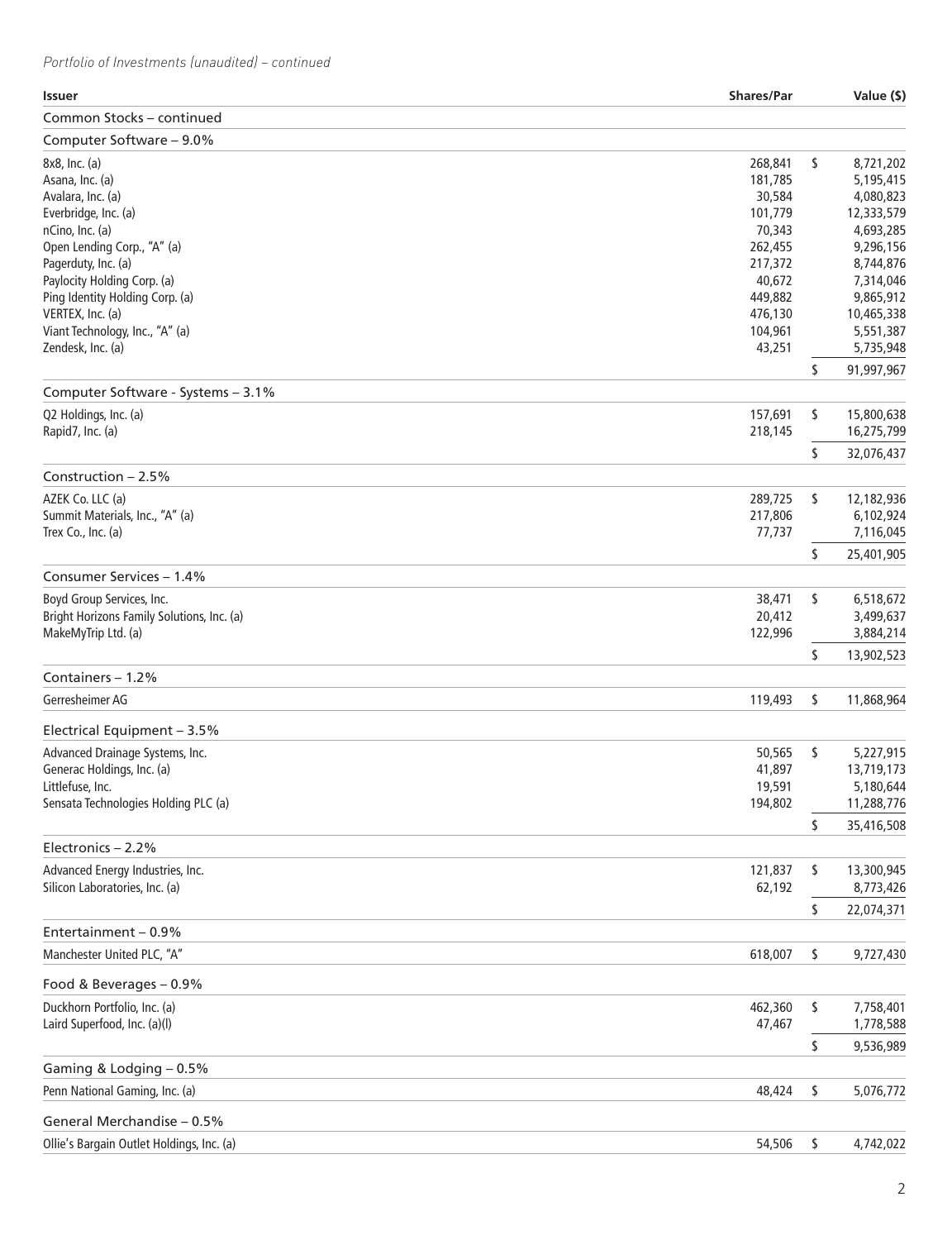*Portfolio of Investments (unaudited) – continued*

| <b>Issuer</b>                              | <b>Shares/Par</b> | Value (\$)       |
|--------------------------------------------|-------------------|------------------|
| Common Stocks - continued                  |                   |                  |
| Computer Software - 9.0%                   |                   |                  |
| 8x8, Inc. (a)                              | 268,841           | \$<br>8,721,202  |
| Asana, Inc. (a)                            | 181,785           | 5,195,415        |
| Avalara, Inc. (a)                          | 30,584            | 4,080,823        |
| Everbridge, Inc. (a)                       | 101,779           | 12,333,579       |
| nCino, Inc. (a)                            | 70,343            | 4,693,285        |
| Open Lending Corp., "A" (a)                | 262,455           | 9,296,156        |
| Pagerduty, Inc. (a)                        | 217,372           | 8,744,876        |
| Paylocity Holding Corp. (a)                | 40,672            | 7,314,046        |
| Ping Identity Holding Corp. (a)            | 449,882           | 9,865,912        |
| VERTEX, Inc. (a)                           | 476,130           | 10,465,338       |
| Viant Technology, Inc., "A" (a)            | 104,961           | 5,551,387        |
| Zendesk, Inc. (a)                          | 43,251            | 5,735,948        |
|                                            |                   | \$<br>91,997,967 |
| Computer Software - Systems - 3.1%         |                   |                  |
| Q2 Holdings, Inc. (a)                      | 157,691           | \$<br>15,800,638 |
| Rapid7, Inc. (a)                           | 218,145           | 16,275,799       |
|                                            |                   | \$<br>32,076,437 |
| Construction $-2.5%$                       |                   |                  |
| AZEK Co. LLC (a)                           | 289,725           | \$<br>12,182,936 |
| Summit Materials, Inc., "A" (a)            | 217,806           | 6,102,924        |
| Trex Co., Inc. (a)                         | 77,737            | 7,116,045        |
|                                            |                   | \$<br>25,401,905 |
| Consumer Services - 1.4%                   |                   |                  |
| Boyd Group Services, Inc.                  | 38,471            | \$<br>6,518,672  |
| Bright Horizons Family Solutions, Inc. (a) | 20,412            | 3,499,637        |
| MakeMyTrip Ltd. (a)                        | 122,996           | 3,884,214        |
|                                            |                   | \$<br>13,902,523 |
| Containers - 1.2%                          |                   |                  |
| Gerresheimer AG                            | 119,493           | \$<br>11,868,964 |
| Electrical Equipment - 3.5%                |                   |                  |
| Advanced Drainage Systems, Inc.            | 50,565            | \$<br>5,227,915  |
| Generac Holdings, Inc. (a)                 | 41,897            | 13,719,173       |
| Littlefuse, Inc.                           | 19,591            | 5,180,644        |
| Sensata Technologies Holding PLC (a)       | 194,802           | 11,288,776       |
|                                            |                   | \$<br>35,416,508 |
| Electronics $-2.2%$                        |                   |                  |
| Advanced Energy Industries, Inc.           | 121,837           | \$<br>13,300,945 |
| Silicon Laboratories, Inc. (a)             | 62,192            | 8,773,426        |
|                                            |                   | \$<br>22,074,371 |
| Entertainment - 0.9%                       |                   |                  |
| Manchester United PLC, "A"                 | 618,007           | \$<br>9,727,430  |
| Food & Beverages - 0.9%                    |                   |                  |
| Duckhorn Portfolio, Inc. (a)               | 462,360           | \$<br>7,758,401  |
| Laird Superfood, Inc. (a)(l)               | 47,467            | 1,778,588        |
|                                            |                   | \$<br>9,536,989  |
| Gaming & Lodging - 0.5%                    |                   |                  |
| Penn National Gaming, Inc. (a)             | 48,424            | \$<br>5,076,772  |
| General Merchandise - 0.5%                 |                   |                  |
| Ollie's Bargain Outlet Holdings, Inc. (a)  | 54,506            | \$<br>4,742,022  |
|                                            |                   |                  |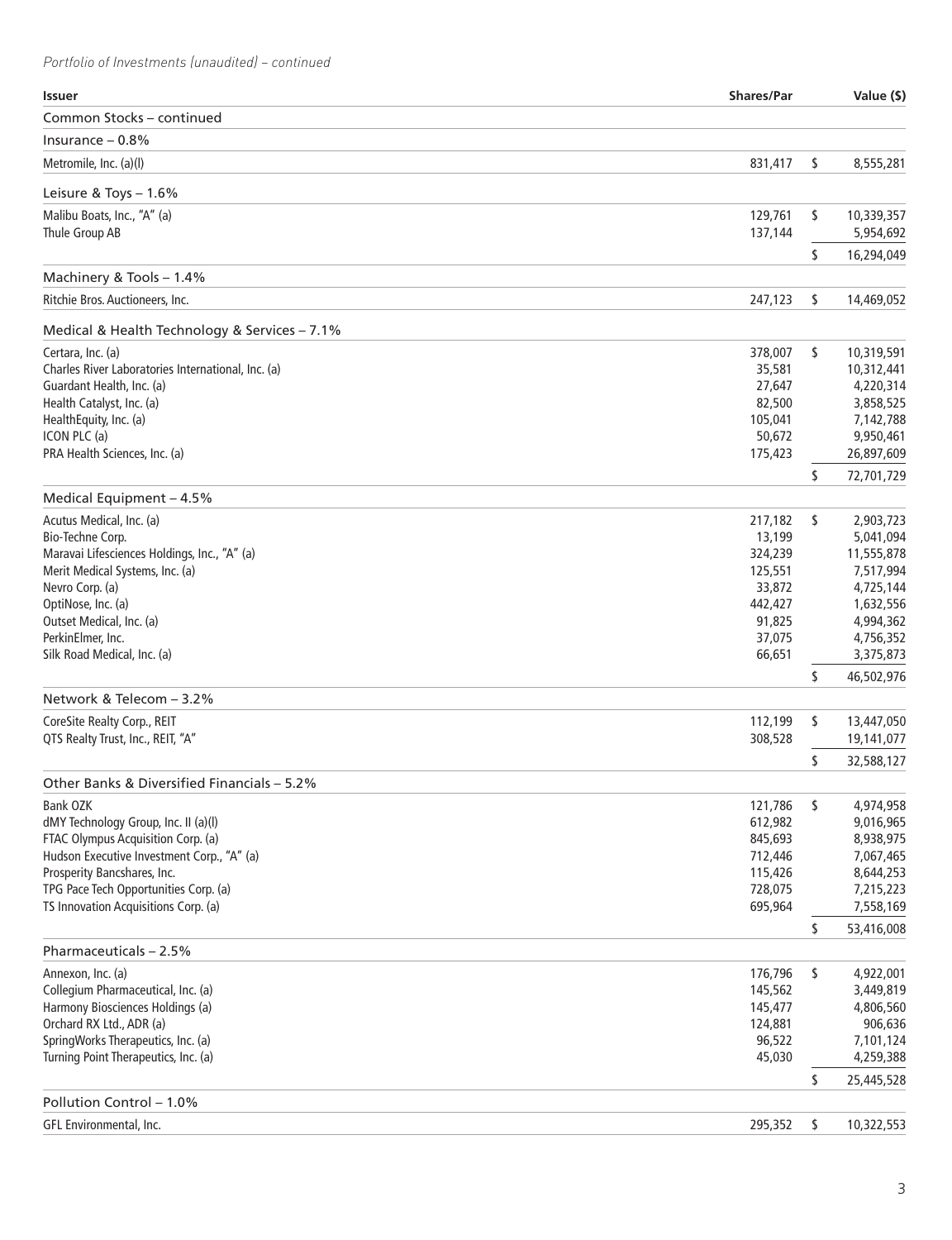*Portfolio of Investments (unaudited) – continued*

| <b>Issuer</b>                                      | <b>Shares/Par</b> | Value (\$)                    |
|----------------------------------------------------|-------------------|-------------------------------|
| Common Stocks - continued                          |                   |                               |
| Insurance $-0.8%$                                  |                   |                               |
| Metromile, Inc. (a)(I)                             | 831,417           | \$<br>8,555,281               |
| Leisure & Toys $-1.6\%$                            |                   |                               |
| Malibu Boats, Inc., "A" (a)                        | 129,761           | \$<br>10,339,357              |
| Thule Group AB                                     | 137,144           | 5,954,692                     |
|                                                    |                   | \$<br>16,294,049              |
| Machinery & Tools - 1.4%                           |                   |                               |
| Ritchie Bros. Auctioneers, Inc.                    | 247,123           | \$<br>14,469,052              |
| Medical & Health Technology & Services - 7.1%      |                   |                               |
| Certara, Inc. (a)                                  | 378,007           | \$<br>10,319,591              |
| Charles River Laboratories International, Inc. (a) | 35,581            | 10,312,441                    |
| Guardant Health, Inc. (a)                          | 27,647            | 4,220,314                     |
| Health Catalyst, Inc. (a)                          | 82,500            | 3,858,525                     |
| HealthEquity, Inc. (a)                             | 105,041           | 7,142,788                     |
| ICON PLC (a)                                       | 50,672            | 9,950,461                     |
| PRA Health Sciences, Inc. (a)                      | 175,423           | 26,897,609                    |
|                                                    |                   | \$<br>72,701,729              |
| Medical Equipment - 4.5%                           |                   |                               |
| Acutus Medical, Inc. (a)                           | 217,182           | \$<br>2,903,723               |
| Bio-Techne Corp.                                   | 13,199            | 5,041,094                     |
| Maravai Lifesciences Holdings, Inc., "A" (a)       | 324,239           | 11,555,878                    |
| Merit Medical Systems, Inc. (a)                    | 125,551           | 7,517,994                     |
| Nevro Corp. (a)                                    | 33,872            | 4,725,144                     |
| OptiNose, Inc. (a)                                 | 442,427           | 1,632,556                     |
| Outset Medical, Inc. (a)                           | 91,825            | 4,994,362                     |
| PerkinElmer, Inc.                                  | 37,075            | 4,756,352                     |
| Silk Road Medical, Inc. (a)                        | 66,651            | 3,375,873                     |
|                                                    |                   | \$<br>46,502,976              |
| Network & Telecom - 3.2%                           |                   |                               |
| CoreSite Realty Corp., REIT                        | 112,199           | \$<br>13,447,050              |
| QTS Realty Trust, Inc., REIT, "A"                  | 308,528           | 19,141,077                    |
|                                                    |                   | \$<br>32,588,127              |
| Other Banks & Diversified Financials - 5.2%        |                   |                               |
| Bank OZK                                           | 121,786           | \$<br>4,974,958               |
| dMY Technology Group, Inc. II (a)(I)               | 612,982           | 9,016,965                     |
| FTAC Olympus Acquisition Corp. (a)                 | 845,693           | 8,938,975                     |
| Hudson Executive Investment Corp., "A" (a)         | 712,446           | 7,067,465                     |
| Prosperity Bancshares, Inc.                        | 115,426           | 8,644,253                     |
| TPG Pace Tech Opportunities Corp. (a)              | 728,075           | 7,215,223                     |
| TS Innovation Acquisitions Corp. (a)               | 695,964           | \$<br>7,558,169<br>53,416,008 |
| Pharmaceuticals - 2.5%                             |                   |                               |
| Annexon, Inc. (a)                                  | 176,796           | \$<br>4,922,001               |
| Collegium Pharmaceutical, Inc. (a)                 | 145,562           | 3,449,819                     |
| Harmony Biosciences Holdings (a)                   | 145,477           | 4,806,560                     |
| Orchard RX Ltd., ADR (a)                           | 124,881           | 906,636                       |
| SpringWorks Therapeutics, Inc. (a)                 | 96,522            | 7,101,124                     |
| Turning Point Therapeutics, Inc. (a)               | 45,030            | 4,259,388                     |
|                                                    |                   | \$<br>25,445,528              |
| Pollution Control - 1.0%                           |                   |                               |
| GFL Environmental, Inc.                            | 295,352           | \$<br>10,322,553              |
|                                                    |                   |                               |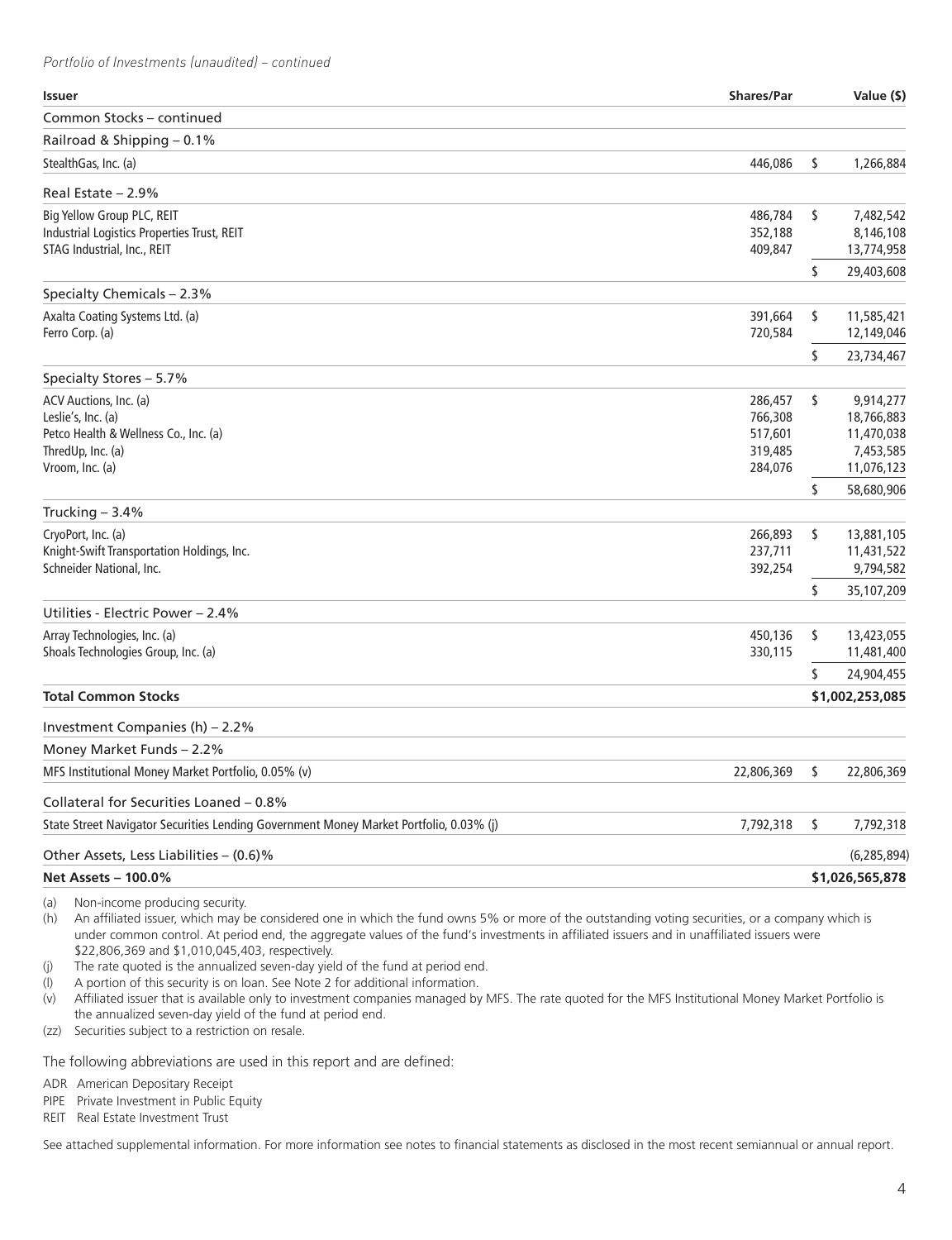*Portfolio of Investments (unaudited) – continued*

| <b>Issuer</b>                                                                          | <b>Shares/Par</b>  | Value (\$)              |
|----------------------------------------------------------------------------------------|--------------------|-------------------------|
| Common Stocks - continued                                                              |                    |                         |
| Railroad & Shipping - 0.1%                                                             |                    |                         |
| StealthGas, Inc. (a)                                                                   | 446,086            | \$<br>1,266,884         |
| Real Estate - 2.9%                                                                     |                    |                         |
| Big Yellow Group PLC, REIT                                                             | 486,784            | \$<br>7,482,542         |
| Industrial Logistics Properties Trust, REIT                                            | 352,188            | 8,146,108               |
| STAG Industrial, Inc., REIT                                                            | 409,847            | 13,774,958              |
|                                                                                        |                    | \$<br>29,403,608        |
| Specialty Chemicals - 2.3%                                                             |                    |                         |
| Axalta Coating Systems Ltd. (a)                                                        | 391,664            | \$<br>11,585,421        |
| Ferro Corp. (a)                                                                        | 720,584            | 12,149,046              |
|                                                                                        |                    | \$<br>23,734,467        |
| Specialty Stores - 5.7%                                                                |                    |                         |
| ACV Auctions, Inc. (a)                                                                 | 286,457            | \$<br>9,914,277         |
| Leslie's, Inc. (a)                                                                     | 766,308            | 18,766,883              |
| Petco Health & Wellness Co., Inc. (a)                                                  | 517,601            | 11,470,038              |
| ThredUp, Inc. (a)<br>Vroom, Inc. (a)                                                   | 319,485<br>284,076 | 7,453,585<br>11,076,123 |
|                                                                                        |                    | \$<br>58,680,906        |
| Trucking $-3.4%$                                                                       |                    |                         |
| CryoPort, Inc. (a)                                                                     | 266,893            | \$<br>13,881,105        |
| Knight-Swift Transportation Holdings, Inc.                                             | 237,711            | 11,431,522              |
| Schneider National, Inc.                                                               | 392,254            | 9,794,582               |
|                                                                                        |                    | \$<br>35,107,209        |
| Utilities - Electric Power – 2.4%                                                      |                    |                         |
| Array Technologies, Inc. (a)                                                           | 450,136            | \$<br>13,423,055        |
| Shoals Technologies Group, Inc. (a)                                                    | 330,115            | 11,481,400              |
|                                                                                        |                    | \$<br>24,904,455        |
| <b>Total Common Stocks</b>                                                             |                    | \$1,002,253,085         |
| Investment Companies (h) – 2.2%                                                        |                    |                         |
| Money Market Funds - 2.2%                                                              |                    |                         |
| MFS Institutional Money Market Portfolio, 0.05% (v)                                    | 22,806,369         | \$<br>22,806,369        |
| Collateral for Securities Loaned - 0.8%                                                |                    |                         |
| State Street Navigator Securities Lending Government Money Market Portfolio, 0.03% (j) | 7,792,318          | \$<br>7,792,318         |
| Other Assets, Less Liabilities - (0.6)%                                                |                    | (6, 285, 894)           |
| <b>Net Assets - 100.0%</b>                                                             |                    | \$1,026,565,878         |
|                                                                                        |                    |                         |

(a) Non-income producing security.

(h) An affiliated issuer, which may be considered one in which the fund owns 5% or more of the outstanding voting securities, or a company which is under common control. At period end, the aggregate values of the fund's investments in affiliated issuers and in unaffiliated issuers were \$22,806,369 and \$1,010,045,403, respectively.

- (j) The rate quoted is the annualized seven-day yield of the fund at period end.
- (l) A portion of this security is on loan. See Note 2 for additional information.
- (v) Affiliated issuer that is available only to investment companies managed by MFS. The rate quoted for the MFS Institutional Money Market Portfolio is the annualized seven-day yield of the fund at period end.
- (zz) Securities subject to a restriction on resale.

The following abbreviations are used in this report and are defined:

- ADR American Depositary Receipt
- PIPE Private Investment in Public Equity
- REIT Real Estate Investment Trust

See attached supplemental information. For more information see notes to financial statements as disclosed in the most recent semiannual or annual report.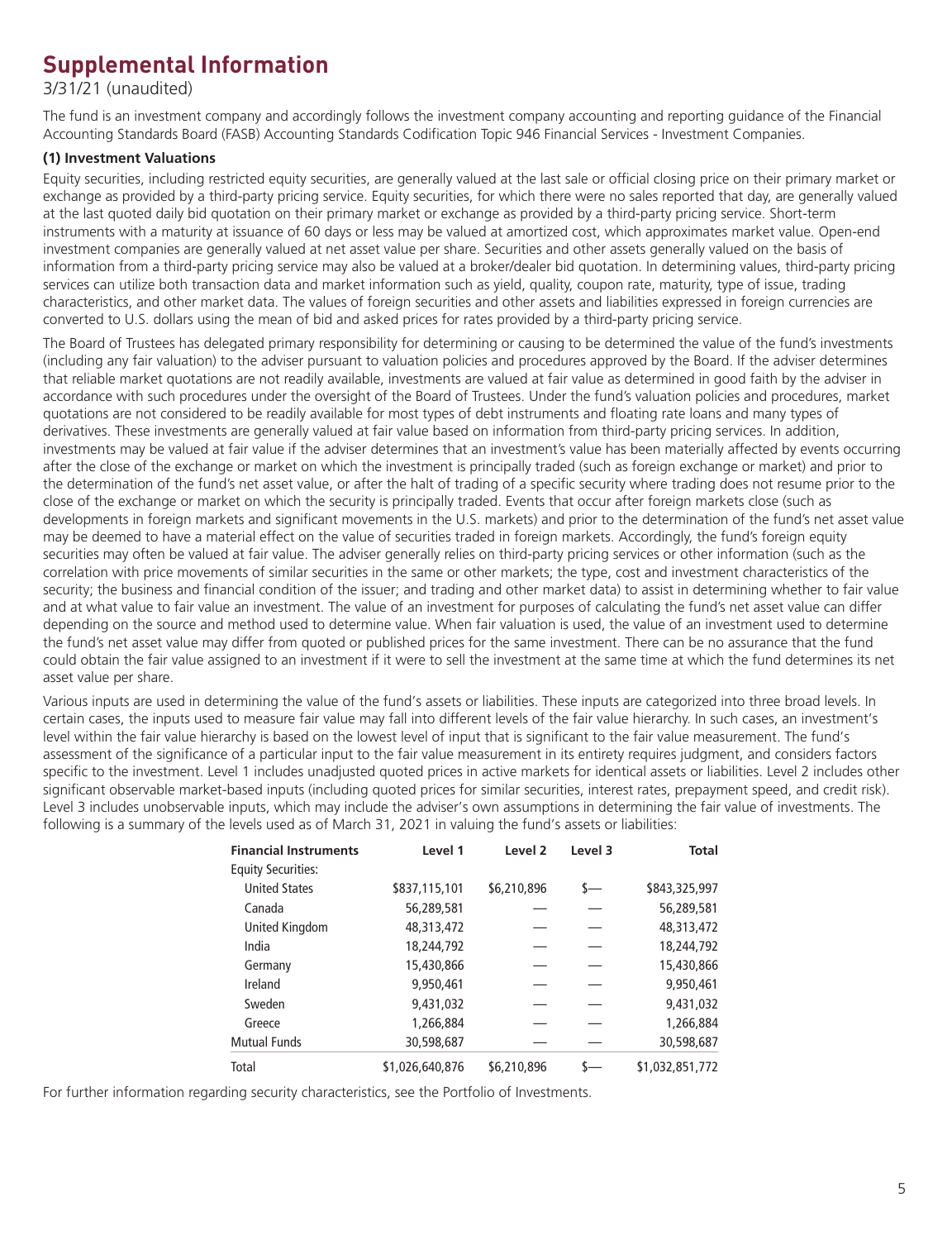# **Supplemental Information**

3/31/21 (unaudited)

The fund is an investment company and accordingly follows the investment company accounting and reporting guidance of the Financial Accounting Standards Board (FASB) Accounting Standards Codification Topic 946 Financial Services - Investment Companies.

## **(1) Investment Valuations**

Equity securities, including restricted equity securities, are generally valued at the last sale or official closing price on their primary market or exchange as provided by a third-party pricing service. Equity securities, for which there were no sales reported that day, are generally valued at the last quoted daily bid quotation on their primary market or exchange as provided by a third-party pricing service. Short-term instruments with a maturity at issuance of 60 days or less may be valued at amortized cost, which approximates market value. Open-end investment companies are generally valued at net asset value per share. Securities and other assets generally valued on the basis of information from a third-party pricing service may also be valued at a broker/dealer bid quotation. In determining values, third-party pricing services can utilize both transaction data and market information such as yield, quality, coupon rate, maturity, type of issue, trading characteristics, and other market data. The values of foreign securities and other assets and liabilities expressed in foreign currencies are converted to U.S. dollars using the mean of bid and asked prices for rates provided by a third-party pricing service.

The Board of Trustees has delegated primary responsibility for determining or causing to be determined the value of the fund's investments (including any fair valuation) to the adviser pursuant to valuation policies and procedures approved by the Board. If the adviser determines that reliable market quotations are not readily available, investments are valued at fair value as determined in good faith by the adviser in accordance with such procedures under the oversight of the Board of Trustees. Under the fund's valuation policies and procedures, market quotations are not considered to be readily available for most types of debt instruments and floating rate loans and many types of derivatives. These investments are generally valued at fair value based on information from third-party pricing services. In addition, investments may be valued at fair value if the adviser determines that an investment's value has been materially affected by events occurring after the close of the exchange or market on which the investment is principally traded (such as foreign exchange or market) and prior to the determination of the fund's net asset value, or after the halt of trading of a specific security where trading does not resume prior to the close of the exchange or market on which the security is principally traded. Events that occur after foreign markets close (such as developments in foreign markets and significant movements in the U.S. markets) and prior to the determination of the fund's net asset value may be deemed to have a material effect on the value of securities traded in foreign markets. Accordingly, the fund's foreign equity securities may often be valued at fair value. The adviser generally relies on third-party pricing services or other information (such as the correlation with price movements of similar securities in the same or other markets; the type, cost and investment characteristics of the security; the business and financial condition of the issuer; and trading and other market data) to assist in determining whether to fair value and at what value to fair value an investment. The value of an investment for purposes of calculating the fund's net asset value can differ depending on the source and method used to determine value. When fair valuation is used, the value of an investment used to determine the fund's net asset value may differ from quoted or published prices for the same investment. There can be no assurance that the fund could obtain the fair value assigned to an investment if it were to sell the investment at the same time at which the fund determines its net asset value per share.

Various inputs are used in determining the value of the fund's assets or liabilities. These inputs are categorized into three broad levels. In certain cases, the inputs used to measure fair value may fall into different levels of the fair value hierarchy. In such cases, an investment's level within the fair value hierarchy is based on the lowest level of input that is significant to the fair value measurement. The fund's assessment of the significance of a particular input to the fair value measurement in its entirety requires judgment, and considers factors specific to the investment. Level 1 includes unadjusted quoted prices in active markets for identical assets or liabilities. Level 2 includes other significant observable market-based inputs (including quoted prices for similar securities, interest rates, prepayment speed, and credit risk). Level 3 includes unobservable inputs, which may include the adviser's own assumptions in determining the fair value of investments. The following is a summary of the levels used as of March 31, 2021 in valuing the fund's assets or liabilities:

| <b>Financial Instruments</b> | Level 1         | Level <sub>2</sub> | Level 3 | <b>Total</b>    |
|------------------------------|-----------------|--------------------|---------|-----------------|
| <b>Equity Securities:</b>    |                 |                    |         |                 |
| <b>United States</b>         | \$837,115,101   | \$6,210,896        | s—      | \$843,325,997   |
| Canada                       | 56,289,581      |                    |         | 56,289,581      |
| United Kingdom               | 48,313,472      |                    |         | 48,313,472      |
| India                        | 18,244,792      |                    |         | 18,244,792      |
| Germany                      | 15,430,866      |                    |         | 15,430,866      |
| Ireland                      | 9,950,461       |                    |         | 9,950,461       |
| Sweden                       | 9,431,032       |                    |         | 9,431,032       |
| Greece                       | 1,266,884       |                    |         | 1,266,884       |
| <b>Mutual Funds</b>          | 30,598,687      |                    |         | 30,598,687      |
| Total                        | \$1,026,640,876 | \$6,210,896        |         | \$1,032,851,772 |

For further information regarding security characteristics, see the Portfolio of Investments.